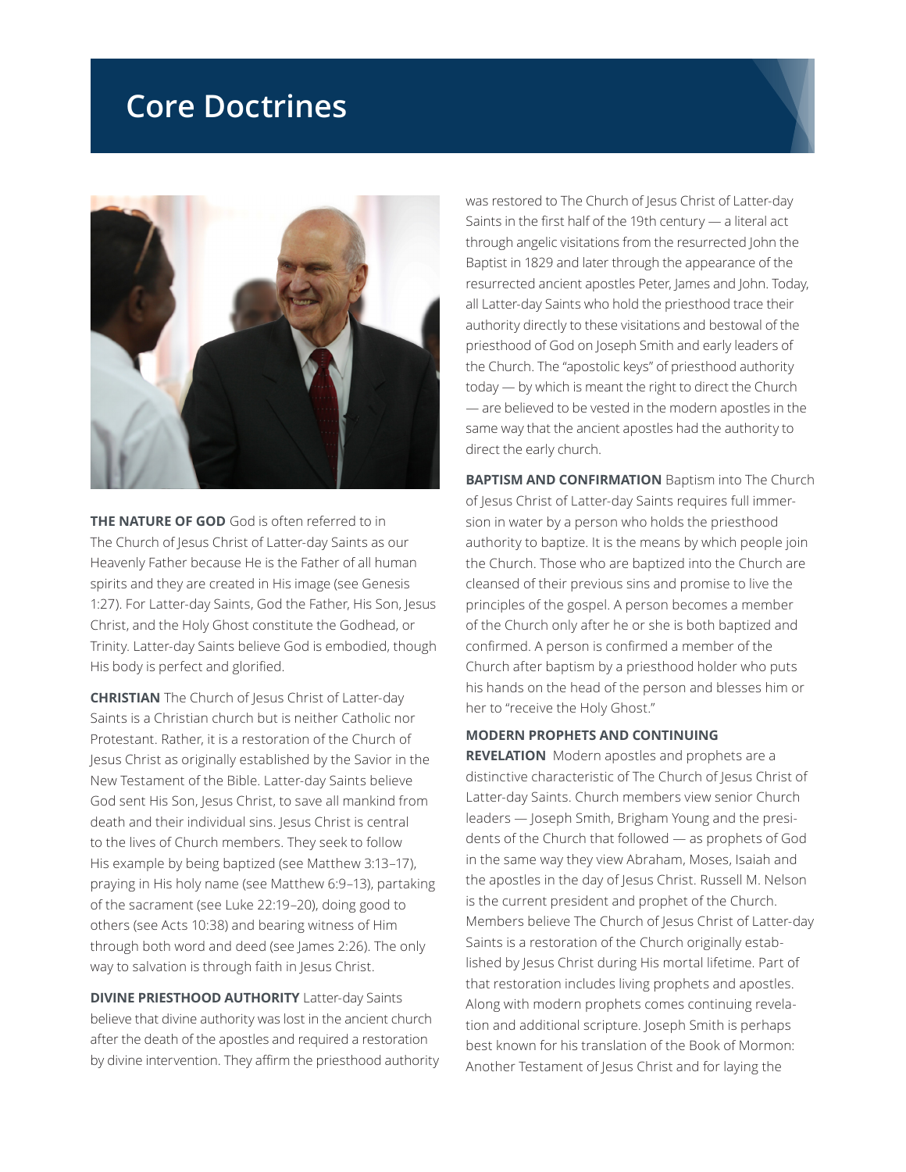## **Core Doctrines**



**THE NATURE OF GOD** God is often referred to in The Church of Jesus Christ of Latter-day Saints as our Heavenly Father because He is the Father of all human spirits and they are created in His image (see Genesis 1:27). For Latter-day Saints, God the Father, His Son, Jesus Christ, and the Holy Ghost constitute the Godhead, or Trinity. Latter-day Saints believe God is embodied, though His body is perfect and glorified.

**CHRISTIAN** The Church of Jesus Christ of Latter-day Saints is a Christian church but is neither Catholic nor Protestant. Rather, it is a restoration of the Church of Jesus Christ as originally established by the Savior in the New Testament of the Bible. Latter-day Saints believe God sent His Son, Jesus Christ, to save all mankind from death and their individual sins. Jesus Christ is central to the lives of Church members. They seek to follow His example by being baptized (see Matthew 3:13–17), praying in His holy name (see Matthew 6:9–13), partaking of the sacrament (see Luke 22:19–20), doing good to others (see Acts 10:38) and bearing witness of Him through both word and deed (see James 2:26). The only way to salvation is through faith in Jesus Christ.

**DIVINE PRIESTHOOD AUTHORITY** Latter-day Saints believe that divine authority was lost in the ancient church after the death of the apostles and required a restoration by divine intervention. They affirm the priesthood authority was restored to The Church of Jesus Christ of Latter-day Saints in the first half of the 19th century — a literal act through angelic visitations from the resurrected John the Baptist in 1829 and later through the appearance of the resurrected ancient apostles Peter, James and John. Today, all Latter-day Saints who hold the priesthood trace their authority directly to these visitations and bestowal of the priesthood of God on Joseph Smith and early leaders of the Church. The "apostolic keys" of priesthood authority today — by which is meant the right to direct the Church — are believed to be vested in the modern apostles in the same way that the ancient apostles had the authority to direct the early church.

**BAPTISM AND CONFIRMATION** Baptism into The Church of Jesus Christ of Latter-day Saints requires full immersion in water by a person who holds the priesthood authority to baptize. It is the means by which people join the Church. Those who are baptized into the Church are cleansed of their previous sins and promise to live the principles of the gospel. A person becomes a member of the Church only after he or she is both baptized and confirmed. A person is confirmed a member of the Church after baptism by a priesthood holder who puts his hands on the head of the person and blesses him or her to "receive the Holy Ghost."

## **MODERN PROPHETS AND CONTINUING**

**REVELATION** Modern apostles and prophets are a distinctive characteristic of The Church of Jesus Christ of Latter-day Saints. Church members view senior Church leaders — Joseph Smith, Brigham Young and the presidents of the Church that followed — as prophets of God in the same way they view Abraham, Moses, Isaiah and the apostles in the day of Jesus Christ. Russell M. Nelson is the current president and prophet of the Church. Members believe The Church of Jesus Christ of Latter-day Saints is a restoration of the Church originally established by Jesus Christ during His mortal lifetime. Part of that restoration includes living prophets and apostles. Along with modern prophets comes continuing revelation and additional scripture. Joseph Smith is perhaps best known for his translation of the Book of Mormon: Another Testament of Jesus Christ and for laying the